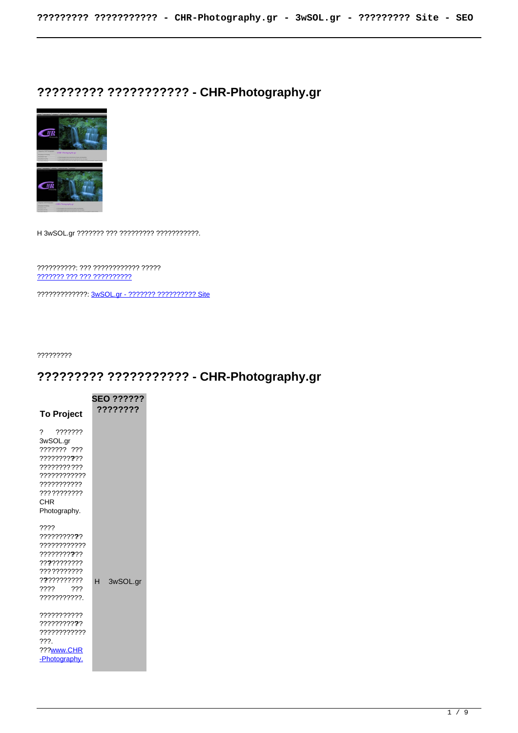## ????????? ??????????? - CHR-Photography.gr



H 3wSOL.gr ??????? ??? ????????? ???????????.

## ?????????? ??? ???????????? ????? ??????? ??? ??? ??????????

?????????????: 3wSOL.gr - ??????? ?????????? Site

?????????

## ???????? ??????????? - CHR-Photography.gr

|                                                                                                                                                                                                                          | SEO ??????     |
|--------------------------------------------------------------------------------------------------------------------------------------------------------------------------------------------------------------------------|----------------|
| <b>To Project</b>                                                                                                                                                                                                        | ????????       |
| ? ? ? ? ? ? ? ?<br>3wSOL.gr<br>??????? ???<br>???????????<br>77777777777<br>????????????<br>???????????<br>7777777777<br>CHR<br>Photography.                                                                             |                |
| ????<br>???????????<br>77777777777<br>???????????<br>???????????<br>7777777777<br>???????????<br>$7777$ $777$<br>7777777777<br>???????????<br>77777777 <b>7</b> 7<br>????????????<br>???.<br>???www.CHR<br>-Photography. | 3wSOL.gr<br>H. |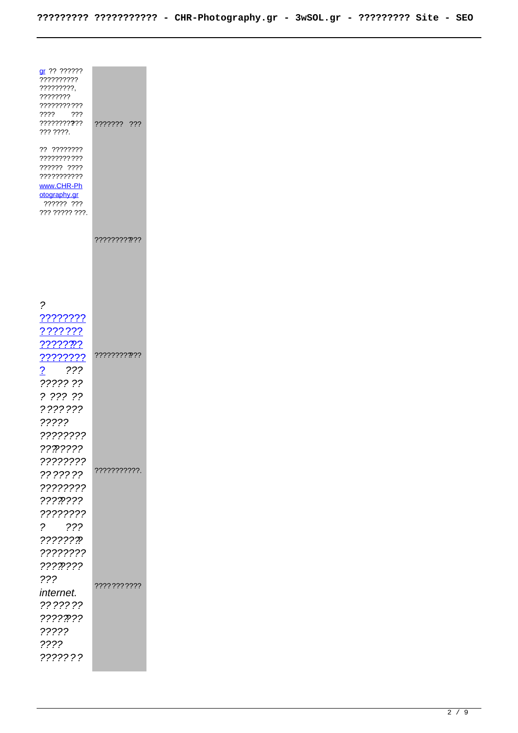| <u>gr</u> ?? ??????<br>??????????<br>?????????<br>????????<br>???????????<br>????<br>???<br>???????????<br>??? ????.<br>?? ???????? | ???????<br>??? |  |
|-------------------------------------------------------------------------------------------------------------------------------------|----------------|--|
| ???????????<br>?????? ????<br>???????????<br>www.CHR-Ph<br>otography.gr<br>?????? ???<br>??? ????? ???.                             | ????????????   |  |
| ?<br><u>????????</u><br>???????<br><u>????????</u><br><u>????????</u><br>222<br><u>?</u><br>????? ??                                | ????????????   |  |
| ? ??? ??<br>???????<br>?????<br>????????<br>???????<br>????????<br>???????<br>????????                                              | ???????????    |  |
| ???????<br>????????<br>$\mathcal{P}$<br>???<br>????????<br>????????<br>???????<br>???<br>internet.                                  | ???????????    |  |
| ???????<br>???????<br>?????<br>????<br>???????                                                                                      |                |  |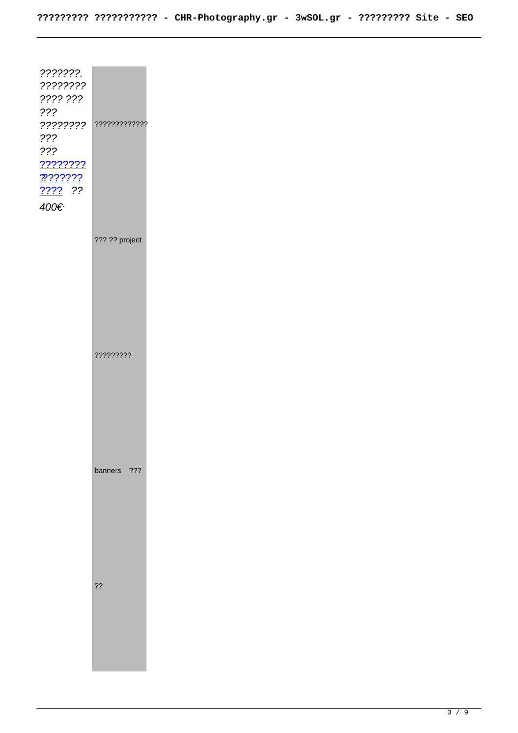| ???????.<br>????????<br>???? ???<br>???<br>????????<br>???<br>???<br>????????<br>$??\,\ ??\$ | ?????????????  |  |
|----------------------------------------------------------------------------------------------|----------------|--|
| 400€                                                                                         | ??? ?? project |  |
|                                                                                              | ?????????      |  |
|                                                                                              | banners<br>??? |  |
|                                                                                              | ??             |  |
|                                                                                              |                |  |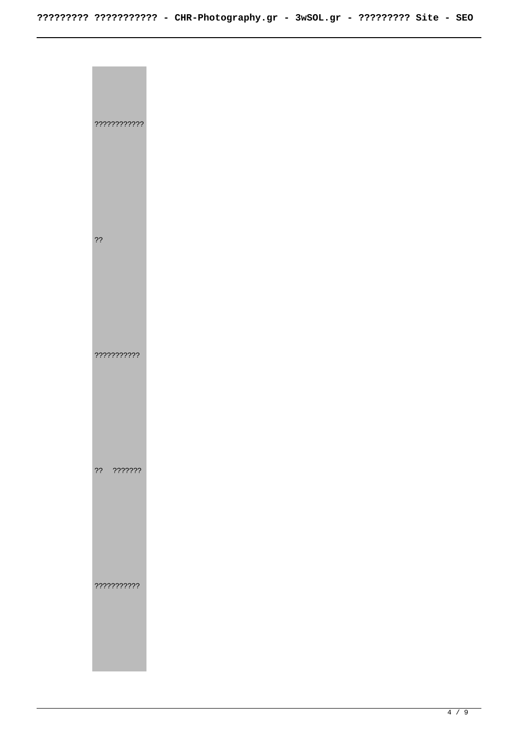| ???????????? |  |
|--------------|--|
| ??           |  |
| ???????????  |  |
| ?? ???????   |  |
| ???????????  |  |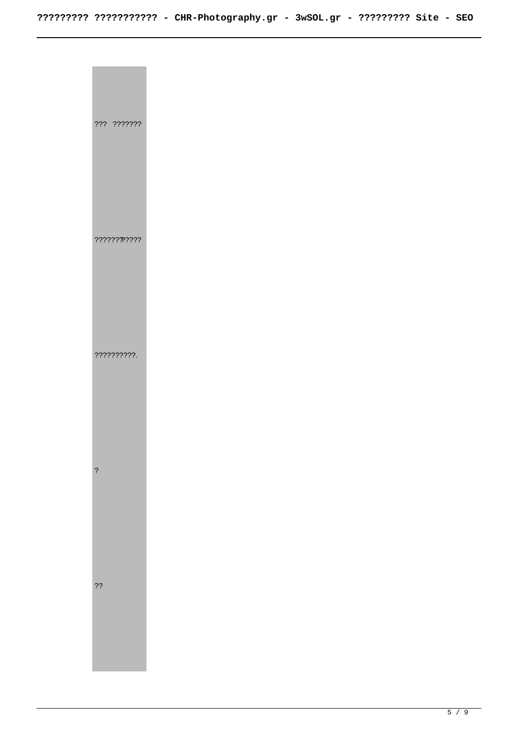??? ??????? ??????? ????? ??????????. ? ??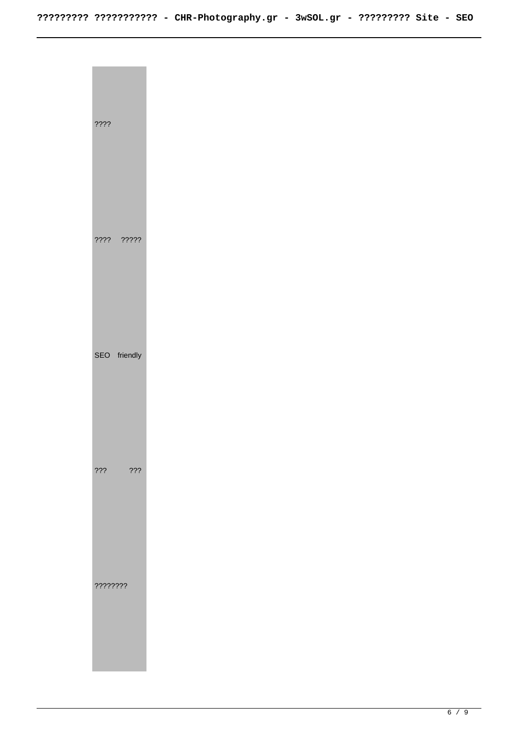| ????         |  |
|--------------|--|
| ???? ?????   |  |
| SEO friendly |  |
| ???<br>???   |  |
| ????????     |  |
|              |  |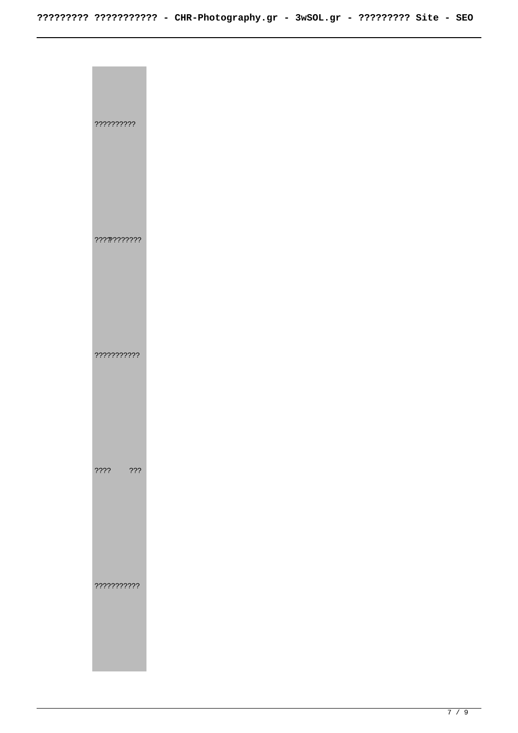| ??????????  |  |  |
|-------------|--|--|
| ??????????? |  |  |
| ??????????? |  |  |
| ????<br>?   |  |  |
| ??????????? |  |  |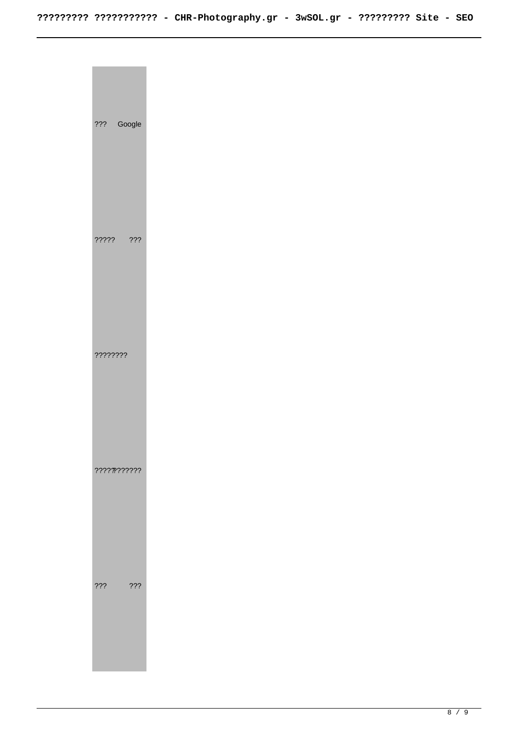| ??? Google      |  |
|-----------------|--|
| ?????<br>$?$ ?? |  |
| ????????        |  |
| ???????????     |  |
| $?$ ??<br>???   |  |